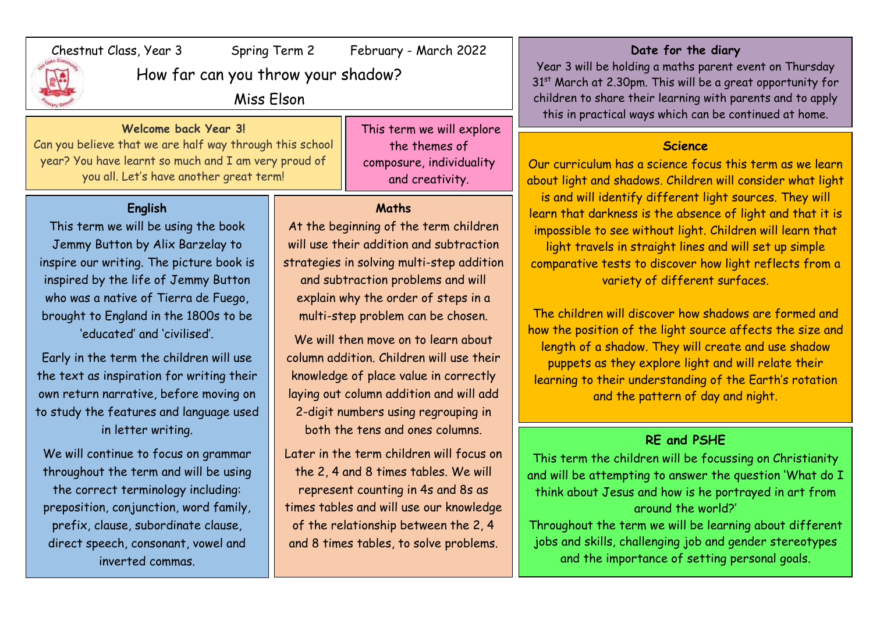| February - March 2022<br>Chestnut Class, Year 3<br>Spring Term 2<br>How far can you throw your shadow?<br>Miss Elson                                                                |                                                                                                                                               |                                                                                           | Date for the diary<br>Year 3 will be holding a maths parent event on Thursday<br>31 <sup>st</sup> March at 2.30pm. This will be a great opportunity for<br>children to share their learning with parents and to apply<br>this in practical ways which can be continued at home.                                                                                                                                                                     |
|-------------------------------------------------------------------------------------------------------------------------------------------------------------------------------------|-----------------------------------------------------------------------------------------------------------------------------------------------|-------------------------------------------------------------------------------------------|-----------------------------------------------------------------------------------------------------------------------------------------------------------------------------------------------------------------------------------------------------------------------------------------------------------------------------------------------------------------------------------------------------------------------------------------------------|
| Welcome back Year 3!<br>Can you believe that we are half way through this school<br>year? You have learnt so much and I am very proud of<br>you all. Let's have another great term! |                                                                                                                                               | This term we will explore<br>the themes of<br>composure, individuality<br>and creativity. | <b>Science</b><br>Our curriculum has a science focus this term as we learn<br>about light and shadows. Children will consider what light<br>is and will identify different light sources. They will<br>learn that darkness is the absence of light and that it is<br>impossible to see without light. Children will learn that<br>light travels in straight lines and will set up simple<br>comparative tests to discover how light reflects from a |
| English<br>This term we will be using the book<br>Jemmy Button by Alix Barzelay to<br>inspire our writing. The picture book is                                                      | <b>Maths</b><br>At the beginning of the term children<br>will use their addition and subtraction<br>strategies in solving multi-step addition |                                                                                           |                                                                                                                                                                                                                                                                                                                                                                                                                                                     |

inspired by the life of Jemmy Button who was a native of Tierra de Fuego, brought to England in the 1800s to be 'educated' and 'civilised'.

Early in the term the children will use the text as inspiration for writing their own return narrative, before moving on to study the features and language used in letter writing.

We will continue to focus on grammar throughout the term and will be using the correct terminology including: preposition, conjunction, word family, prefix, clause, subordinate clause, direct speech, consonant, vowel and inverted commas.

strategies in solving multi-step addition and subtraction problems and will explain why the order of steps in a multi-step problem can be chosen.

We will then move on to learn about column addition. Children will use their knowledge of place value in correctly laying out column addition and will add 2-digit numbers using regrouping in both the tens and ones columns.

Later in the term children will focus on the 2, 4 and 8 times tables. We will represent counting in 4s and 8s as times tables and will use our knowledge of the relationship between the 2, 4 and 8 times tables, to solve problems.

how the position of the light source affects the size and length of a shadow. They will create and use shadow puppets as they explore light and will relate their learning to their understanding of the Earth's rotation and the pattern of day and night.

variety of different surfaces.

The children will discover how shadows are formed and

## **RE and PSHE**

This term the children will be focussing on Christianity and will be attempting to answer the question 'What do I think about Jesus and how is he portrayed in art from around the world?'

Throughout the term we will be learning about different jobs and skills, challenging job and gender stereotypes and the importance of setting personal goals.